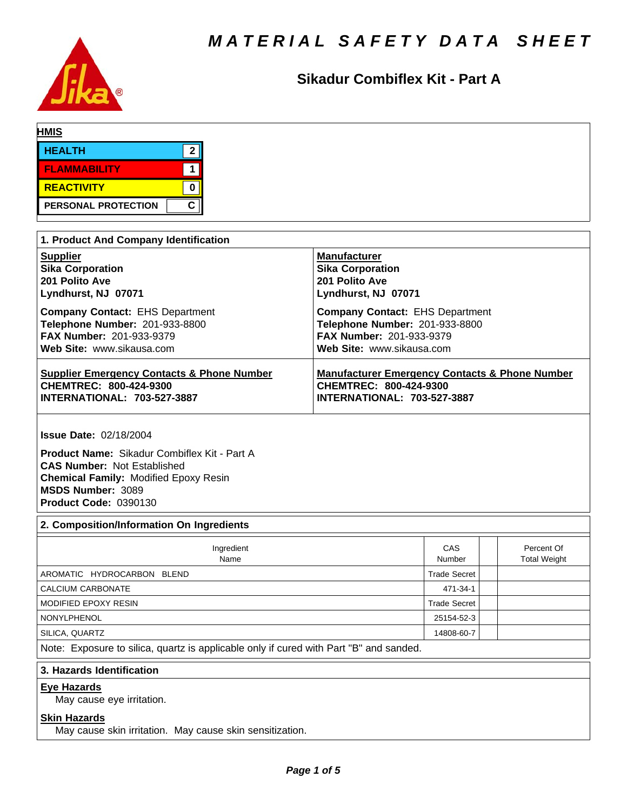

# **Sikadur Combiflex Kit - Part A**

| <b>HMIS</b>         |   |
|---------------------|---|
| <b>HEALTH</b>       | ◚ |
| <b>FLAMMABILITY</b> |   |
| <b>REACTIVITY</b>   |   |
| PERSONAL PROTECTION | C |

| 1. Product And Company Identification                 |                                                           |
|-------------------------------------------------------|-----------------------------------------------------------|
| <b>Supplier</b>                                       | <b>Manufacturer</b>                                       |
| <b>Sika Corporation</b>                               | <b>Sika Corporation</b>                                   |
| 201 Polito Ave                                        | 201 Polito Ave                                            |
| Lyndhurst, NJ 07071                                   | Lyndhurst, NJ 07071                                       |
| <b>Company Contact: EHS Department</b>                | <b>Company Contact: EHS Department</b>                    |
| Telephone Number: 201-933-8800                        | Telephone Number: 201-933-8800                            |
| <b>FAX Number: 201-933-9379</b>                       | <b>FAX Number: 201-933-9379</b>                           |
| Web Site: www.sikausa.com                             | Web Site: www.sikausa.com                                 |
| <b>Supplier Emergency Contacts &amp; Phone Number</b> | <b>Manufacturer Emergency Contacts &amp; Phone Number</b> |
| CHEMTREC: 800-424-9300                                | CHEMTREC: 800-424-9300                                    |
| <b>INTERNATIONAL: 703-527-3887</b>                    | <b>INTERNATIONAL: 703-527-3887</b>                        |

**Issue Date:** 02/18/2004

**Product Name: Sikadur Combiflex Kit - Part A CAS Number:** Not Established **Chemical Family:** Modified Epoxy Resin **MSDS Number:** 3089 **Product Code:** 0390130

# **2. Composition/Information On Ingredients**

| Ingredient<br>Name                                                                     | CAS<br>Number       | Percent Of<br><b>Total Weight</b> |  |  |  |
|----------------------------------------------------------------------------------------|---------------------|-----------------------------------|--|--|--|
| AROMATIC HYDROCARBON BLEND                                                             | <b>Trade Secret</b> |                                   |  |  |  |
| CALCIUM CARBONATE                                                                      | 471-34-1            |                                   |  |  |  |
| <b>MODIFIED EPOXY RESIN</b>                                                            | <b>Trade Secret</b> |                                   |  |  |  |
| <b>NONYLPHENOL</b>                                                                     | 25154-52-3          |                                   |  |  |  |
| SILICA, QUARTZ                                                                         | 14808-60-7          |                                   |  |  |  |
| Note: Exposure to silica, quartz is applicable only if cured with Part "B" and sanded. |                     |                                   |  |  |  |
| 3. Hazards Identification                                                              |                     |                                   |  |  |  |

# **Eye Hazards**

May cause eye irritation.

# **Skin Hazards**

May cause skin irritation. May cause skin sensitization.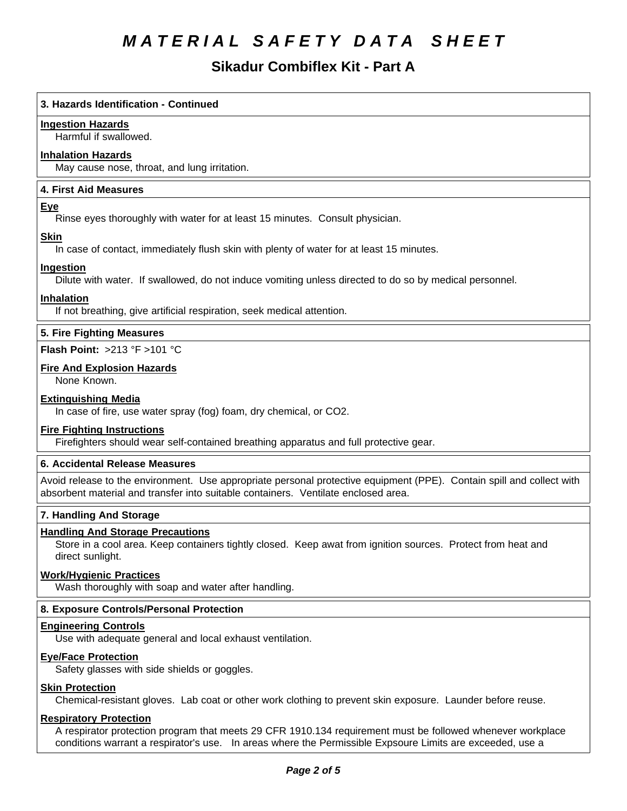# **Sikadur Combiflex Kit - Part A**

# **3. Hazards Identification - Continued**

# **Ingestion Hazards**

Harmful if swallowed.

# **Inhalation Hazards**

May cause nose, throat, and lung irritation.

# **4.First AidMeasures**

# **Eye**

Rinse eyes thoroughly with water for at least 15 minutes. Consult physician.

# **Skin**

In case of contact, immediately flush skin with plenty of water for at least 15 minutes.

# **Ingestion**

Dilute with water. If swallowed, do not induce vomiting unless directed to do so by medical personnel.

# **Inhalation**

If not breathing, give artificial respiration, seek medical attention.

# **5. Fire Fighting Measures**

**Flash Point:** >213°F>101°C

# **Fire And Explosion Hazards**

None Known.

# **Extinguishing Media**

In case of fire, use water spray (fog) foam, dry chemical, or CO2.

# **Fire Fighting Instructions**

Firefighters should wear self-contained breathing apparatus and full protective gear.

# **6. Accidental Release Measures**

Avoid release to the environment. Use appropriate personal protective equipment (PPE). Contain spill and collect with absorbent material and transfer into suitable containers. Ventilate enclosed area.

# **7. Handling And Storage**

# **Handling And Storage Precautions**

Store in a cool area. Keep containers tightly closed. Keep awat from ignition sources. Protect from heat and direct sunlight.

# **Work/Hygienic Practices**

Wash thoroughly with soap and water after handling.

# **8. Exposure Controls/Personal Protection**

#### **Engineering Controls**

Use with adequate general and local exhaust ventilation.

# **Eye/Face Protection**

Safety glasses with side shields or goggles.

# **Skin Protection**

Chemical-resistant gloves. Lab coat or other work clothing to prevent skin exposure. Launder before reuse.

#### **Respiratory Protection**

A respirator protection program that meets 29 CFR 1910.134 requirement must be followed whenever workplace conditions warrant a respirator's use. In areas where the Permissible Expsoure Limits are exceeded, use a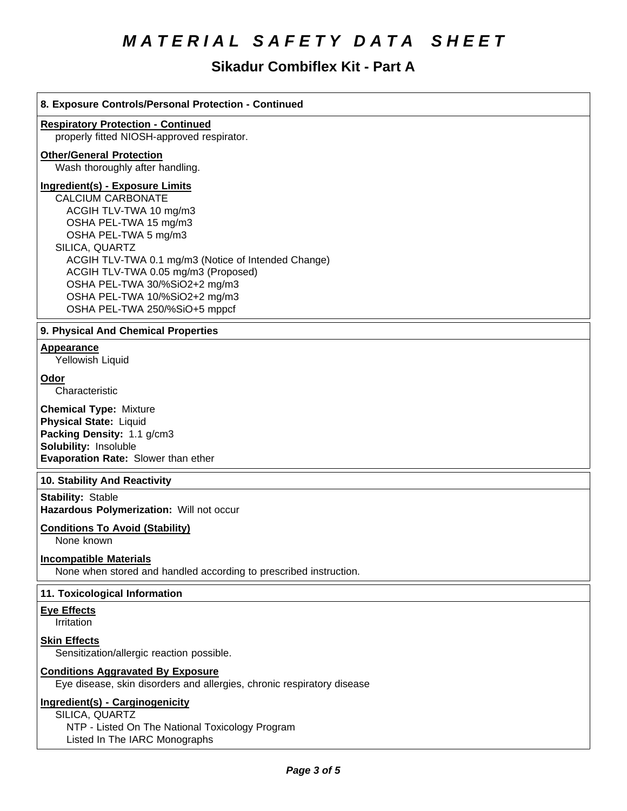# **Sikadur Combiflex Kit - Part A**

| 8. Exposure Controls/Personal Protection - Continued                                               |  |  |
|----------------------------------------------------------------------------------------------------|--|--|
| <b>Respiratory Protection - Continued</b>                                                          |  |  |
| properly fitted NIOSH-approved respirator.                                                         |  |  |
| <b>Other/General Protection</b>                                                                    |  |  |
| Wash thoroughly after handling.                                                                    |  |  |
| <b>Ingredient(s) - Exposure Limits</b>                                                             |  |  |
| <b>CALCIUM CARBONATE</b>                                                                           |  |  |
| ACGIH TLV-TWA 10 mg/m3                                                                             |  |  |
| OSHA PEL-TWA 15 mg/m3                                                                              |  |  |
| OSHA PEL-TWA 5 mg/m3                                                                               |  |  |
| SILICA, QUARTZ                                                                                     |  |  |
| ACGIH TLV-TWA 0.1 mg/m3 (Notice of Intended Change)                                                |  |  |
| ACGIH TLV-TWA 0.05 mg/m3 (Proposed)                                                                |  |  |
| OSHA PEL-TWA 30/%SiO2+2 mg/m3                                                                      |  |  |
| OSHA PEL-TWA 10/%SiO2+2 mg/m3<br>OSHA PEL-TWA 250/%SiO+5 mppcf                                     |  |  |
|                                                                                                    |  |  |
| 9. Physical And Chemical Properties                                                                |  |  |
| <b>Appearance</b>                                                                                  |  |  |
| Yellowish Liquid                                                                                   |  |  |
| Odor                                                                                               |  |  |
| Characteristic                                                                                     |  |  |
|                                                                                                    |  |  |
| <b>Chemical Type: Mixture</b>                                                                      |  |  |
| Physical State: Liquid<br>Packing Density: 1.1 g/cm3                                               |  |  |
| Solubility: Insoluble                                                                              |  |  |
| Evaporation Rate: Slower than ether                                                                |  |  |
|                                                                                                    |  |  |
| 10. Stability And Reactivity                                                                       |  |  |
| <b>Stability: Stable</b>                                                                           |  |  |
| Hazardous Polymerization: Will not occur                                                           |  |  |
| <b>Conditions To Avoid (Stability)</b>                                                             |  |  |
| None known                                                                                         |  |  |
|                                                                                                    |  |  |
| <b>Incompatible Materials</b><br>None when stored and handled according to prescribed instruction. |  |  |

# **11. Toxicological Information**

**Eye Effects**

Irritation

**Skin Effects**

Sensitization/allergic reaction possible.

# **Conditions Aggravated By Exposure**

Eye disease, skin disorders and allergies, chronic respiratory disease

# **Ingredient(s) - Carginogenicity**

SILICA, QUARTZ NTP - Listed On The National Toxicology Program Listed In The IARC Monographs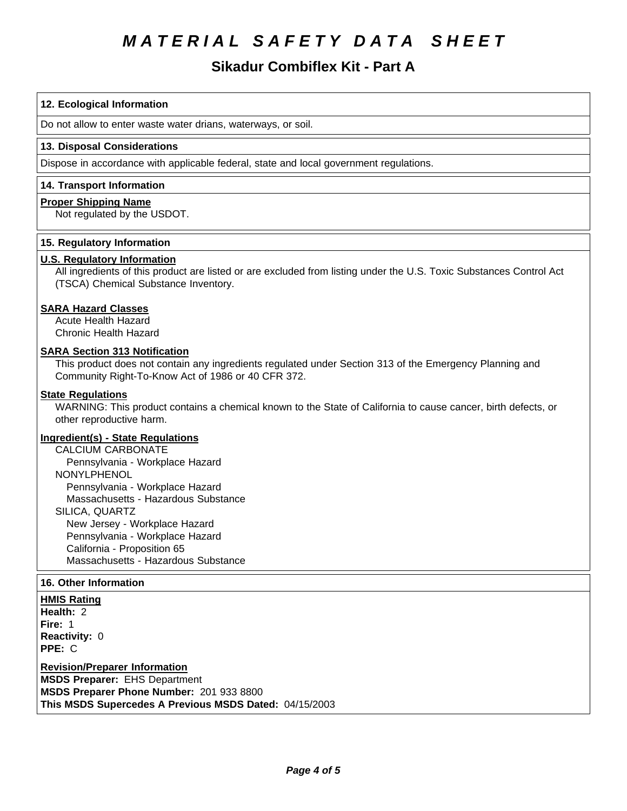# Sikadur Combiflex Kit - Part A

# 12. Ecological Information

Do not allow to enter waste water drians, waterways, or soil.

# 13. Disposal Considerations

Dispose in accordance with applicable federal, state and local government regulations.

# 14. Transport Information

# **Proper Shipping Name**

Not regulated by the USDOT.

# 15. Regulatory Information

# **U.S. Regulatory Information**

All ingredients of this product are listed or are excluded from listing under the U.S. Toxic Substances Control Act (TSCA) Chemical Substance Inventory.

# **SARA Hazard Classes**

**Acute Health Hazard** Chronic Health Hazard

# **SARA Section 313 Notification**

This product does not contain any ingredients regulated under Section 313 of the Emergency Planning and Community Right-To-Know Act of 1986 or 40 CFR 372.

# **State Regulations**

WARNING: This product contains a chemical known to the State of California to cause cancer, birth defects, or other reproductive harm.

# **Ingredient(s) - State Regulations**

**CALCIUM CARBONATE** Pennsylvania - Workplace Hazard **NONYLPHENOL** Pennsylvania - Workplace Hazard Massachusetts - Hazardous Substance SILICA, QUARTZ New Jersey - Workplace Hazard Pennsylvania - Workplace Hazard California - Proposition 65 Massachusetts - Hazardous Substance

# 16. Other Information

**HMIS Rating** 

Health: 2 Fire: 1 Reactivity: 0 PPE: C

**Revision/Preparer Information** 

**MSDS Preparer: EHS Department** MSDS Preparer Phone Number: 201 933 8800 This MSDS Supercedes A Previous MSDS Dated: 04/15/2003